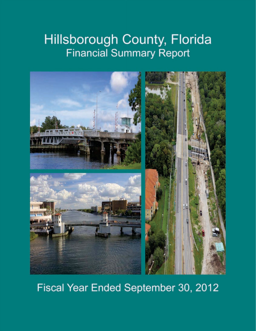### Hillsborough County, Florida **Financial Summary Report**



### Fiscal Year Ended September 30, 2012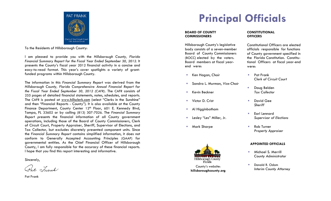

To the Residents of Hillsborough County:

I am pleased to provide you with the *Hillsborough County, Florida Financial Summary Report for the Fiscal Year Ended September 30, 2012*. It presents the County's fiscal year 2012 financial activity in a concise and easy-to-read format. This year's cover spotlights a variety of grantfunded programs within Hillsborough County.

The information in this *Financial Summary Report* was derived from the *Hillsborough County, Florida Comprehensive Annual Financial Report for the Fiscal Year Ended September 30, 2012 (CAFR)*. The CAFR consists of 255 pages of detailed financial statements, notes, schedules, and reports. The CAFR is posted at www.hillsclerk.com (select "Clerks in the Sunshine" and then "Financial Reports - County"). It is also available at the County Finance Department, County Center 12<sup>th</sup> Floor, 601 E. Kennedy Blvd, Tampa, FL 33602 or by calling (813) 307-7026. The *Financial Summary Report p*resents the financial information of all County government operations, including those of the Board of County Commissioners, Clerk of Circuit Court, Property Appraiser, Sheriff, Supervisor of Elections, and Tax Collector, but excludes discretely presented component units. Since the *Financial Summary Report* contains simplified information, it does not conform to Generally Accepted Accounting Principles (GAAP) for governmental entities. As the Chief Financial Officer of Hillsborough County, I am fully responsible for the accuracy of these financial reports. I hope that you find this report interesting and informative.

Sincerely,

Pat Frank

Pat Frank

# **Principal Officials**

#### **BOARD OF COUNTY COMMISSIONERS**

Hillsborough County's legislative body consists of a seven-member Board of County Commissioners (BOCC) elected by the voters. Board members at fiscal yearend were:

- Ken Hagan, Chair **Fack** Pat Frank
- È. Sandra L. Murman, *Vice-Chair*
- n.
- Victor D. Crist David Gee
- m. Al Higginbotham
- m.
- n.



#### **CONSTITUTIONALOFFICERS**

Constitutional Officers are elected officials responsible for functions of County government specified in the Florida Constitution. Constitutional Officers at fiscal year-end were:

- *Clerk of Circuit Court*
- m. Doug Belden Kevin Beckner *Tax Collector* 
	- *Sheriff*
- Earl Lennard Lesley "Les" Miller, Jr. *Supervisor of Elections*
- Mark Sharpe **Rob Turner** Rob Turner *Property Appraiser*

### **APPOINTED OFFICIALS**

- Michael S. Merrill *County Administrator*
- $\overline{\phantom{a}}$  Donald R. Odom**If the County's website: hillsboroughcounty.org billsboroughcounty.org billsboroughcounty.org and the United States of the United States of the United States of the United States of the United States of the United State**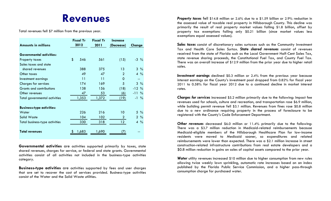## **Revenues**

Total revenues fell \$7 million from the previous year.

|                                  | <b>Fiscal Yr</b> | <b>Fiscal Yr</b> | <i><u><b>Increase</b></u></i> |                 |
|----------------------------------|------------------|------------------|-------------------------------|-----------------|
| <b>Amounts in millions</b>       | 2012             | 2011             | (Decrease)                    | Change          |
| <b>Governmental activities:</b>  |                  |                  |                               |                 |
| Property taxes                   | \$<br>546        | 561              | (15)                          | $-3\frac{9}{6}$ |
| Sales taxes and state            |                  |                  |                               |                 |
| shared revenues                  | 388              | 375              | 13                            | $3\%$           |
| Other taxes                      | 49               | 47               | $\overline{2}$                | $4\frac{9}{6}$  |
| Investment earnings              | 11               | 11               | $\Omega$                      |                 |
| <b>Charges for services</b>      | 174              | 169              | 5                             | $3\%$           |
| Grants and contributions         | 138              | 156              | (18)                          | $-12%$          |
| Other revenues                   | 47               | 53               | (6)                           | $-11\%$         |
| Total governmental activities    | 1,353            | 1,372            | (19)                          | $-1\frac{9}{6}$ |
|                                  |                  |                  |                               |                 |
| <b>Business-type activities:</b> |                  |                  |                               |                 |
| Water                            | 226              | 216              | 10                            | $5\%$           |
| Solid Waste                      | 104              | 102              | $\overline{2}$                | $2\%$           |
| Total business-type activities   | 330              | 318              | 12 <sup>°</sup>               | $4\%$           |
| <b>Total revenues</b>            | 1,683            | 1,690            |                               |                 |

**Governmental activities** are activities supported primarily by taxes, state shared revenues, charges for service, or federal and state grants. Governmental activities consist of all activities not included in the business-type activities category.

**Business-type activities** are activities supported by fees and user charges that are set to recover the cost of services provided. Business-type activities consist of the Water and the Solid Waste utilities.

*Property taxes* fell \$14.8 million or 2.6% due to a \$1.59 billion or 2.9% reduction in the assessed value of taxable real property in Hillsborough County. This decline was primarily the result of real property market values falling \$1.8 billion, offset by property tax exemptions falling only \$0.21 billion (since market values less exemptions equal assessed values).

*Sales taxes* consist of discretionary sales surtaxes such as the Community Investment Tax and Health Care Sales Surtax. *State shared revenues* consist of revenues received from the state of Florida such as the Local Government Half-Cent Sales Tax, state revenue sharing proceeds, the Constitutional Fuel Tax, and County Fuel Tax. There was an overall increase of \$12.9 million from the prior year due to higher retail sales.

*Investment earnings* declined \$0.3 million or 2.4% from the previous year because interest earnings on the County's investment pool dropped from 0.82% for fiscal year 2011 to 0.58% for fiscal year 2012 due to a continued decline in market interest rates.

*Charges for services* increased \$5.2 million primarily due to the following: Impact fee revenues used for schools, culture and recreation, and transportation rose \$6.9 million, while building permit revenue fell \$3.1 million. Revenues from fines rose \$0.8 million due to a new ordinance requiring property in the process of foreclosure to be registered with the County's Code Enforcement Department.

*Other revenues* decreased \$6.0 million or 11.4% primarily due to the following: There was a \$3.7 million reduction in Medicaid-related reimbursements because Medicaid-eligible members of the Hillsborough Healthcare Plan for low-income residents were moved to Medicaid sooner, so expenditures and related reimbursements were lower than expected. There was a \$2.1 million increase in street construction-related infrastructure contributions from real estate developers and a \$0.8 million reduction in gains on sales of capital assets compared to the prior year.

*Water* utility revenues increased \$10 million due to higher consumption from new rules allowing twice weekly lawn sprinkling, automatic rate increases based on an index published by the Florida Public Service Commission, and a higher pass-through consumption charge for purchased water.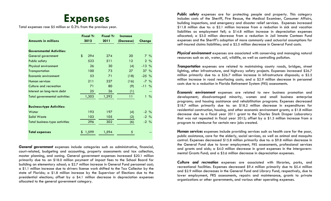### **Expenses**

Total expenses rose \$5 million or 0.3 % from the previous year.

|                                       | <b>Fiscal Yr</b> | <b>Fiscal Yr</b> | <b>Increase</b> |                               |
|---------------------------------------|------------------|------------------|-----------------|-------------------------------|
| <b>Amounts in millions</b>            | 2012             | 2011             | (Decrease)      | Change                        |
|                                       |                  |                  |                 |                               |
| <b>Governmental Activities:</b>       |                  |                  |                 |                               |
| General government                    | \$<br>294        | 274              | 20              | $7\%$                         |
| <b>Public safety</b>                  | 523              | 511              | 12              | $2\frac{9}{6}$                |
| Physical environment                  | 26               | 30               | (4)             | $-13%$                        |
| Transportation                        | 100              | 73               | 27              | $37\%$                        |
| Economic environment                  | 53               | 71               | (18)            | $-25%$                        |
| Human services                        | 211              | 227              | (16)            | $-7\frac{9}{6}$               |
| Culture and recreation                | 71               | 80               | (9)             | $-11\%$                       |
| Interest on long-term debt            | 25               | 26               | (1)             | --                            |
| <b>Total governmental activities</b>  | 1,303            | 1,292            | 11              | $\frac{0}{0}$<br>$\mathbf{1}$ |
|                                       |                  |                  |                 |                               |
| <b>Business-type Activities:</b>      |                  |                  |                 |                               |
| Water                                 | 193              | 197              | (4)             | $-2\frac{9}{6}$               |
| <b>Solid Waste</b>                    | 103              | 105              | (2)             | $-2\frac{9}{6}$               |
| <b>Total business-type activities</b> | 296              | 302              | (6)             | $-2\frac{9}{6}$               |
|                                       |                  |                  |                 |                               |
| <b>Total expenses</b>                 | 1,599            | 1,594            | 5               |                               |
|                                       |                  |                  |                 |                               |

*General government* expenses include categories such as administrative, financial, court-related, budgeting and accounting, property assessments and tax collection, master planning, and zoning. General government expenses increased \$20.1 million primarily due to: an \$18.0 million payment of impact fees to the School Board for building an elementary school; a \$2.7 million increase in General Fund personnel cost; a \$1.1 million increase due to drivers license work shifted to the Tax Collector by the state of Florida; a \$1.8 million increase by the Supervisor of Elections due to the presidential elections; offset by a \$4.1 million decrease in depreciation expenses allocated to the general government category.

*Public safety* expenses are for protecting people and property. This category includes costs of the Sheriff, Fire Rescue, the Medical Examiner, Consumer Affairs, building inspections, and emergency and disaster relief services. Expenses increased \$11.8 million due to: a \$2.1 million increase from a reduction in sick and vacation liabilities as employment fell; a \$14.8 million increase in depreciation expenses allocated; a \$3.0 million decrease from a reduction in Jail Inmate Canteen Fund expenses and the Sheriff's adoption of more commonly used actuarial assumptions for self-insured claims liabilities; and a \$2.5 million decrease in General Fund costs.

*Physical environment* expenses are associated with conserving and managing natural resources such as air, water, soil, wildlife, as well as controlling pollution.

*Transportation* expenses are related to maintaining county roads, bridges, street lighting, other infrastructure, and highway safety projects. Expenses increased \$26.7 million primarily due to: a \$26.7 million increase in infrastructure disposals; a \$2.5 million increase in road resurfacing costs; and a \$2.9 million decrease in personnel costs due to a reduction in Florida Retirement System (FRS) assessments.

*Economic environment* expenses are related to new business promotion and development; disadvantaged minority, women and small business enterprise programs; and housing assistance and rehabilitation programs. Expenses decreased \$18.7 million primarily due to: an \$18.2 million decrease in expenditures for residential construction, housing, and other economic environment grants; a \$1.8 million decrease due to a fiscal year 2011 grant to the Charles Stark Draper Laboratory that was not repeated in fiscal year 2012; offset by a \$1.3 million increase from a program to reimburse for certain new jobs created.

*Human services* expenses include providing services such as health care for the poor, public assistance, care for the elderly, social services, as well as animal and mosquito control. Expenses decreased \$15.8 million primarily due to: a \$9.8 million decrease in the General Fund due to lower employment, FRS assessments, professional services and grants and aids; a \$4.0 million decrease in grant expenses in the Intergovernmental Grants Fund; and a \$3.6 million decrease in depreciation expenses.

*Culture and recreation* expenses are associated with libraries, parks, and recreational facilities. Expenses decreased \$9.4 million primarily due to \$5.4 million and \$2.9 million decreases in the General Fund and Library Fund, respectively, due to lower employment, FRS assessments, repairs and maintenance, grants to private organizations or other governments, and various other operating expenses.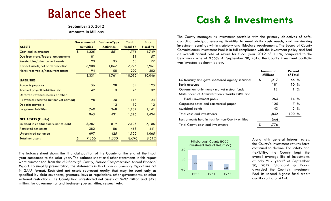# Balance Sheet

September 30, 2012 Amounts in Millions

|                                         | <b>Governmental</b>    |       | <b>Business-Type</b> | <b>Total</b>     | <b>Prior</b>     |  |
|-----------------------------------------|------------------------|-------|----------------------|------------------|------------------|--|
| <b>ASSETS</b>                           | <b>Activities</b>      |       | <b>Activities</b>    | <b>Fiscal Yr</b> | <b>Fiscal Yr</b> |  |
| <b>Cash and investments</b>             | $\boldsymbol{\hat{s}}$ | 1,225 | 551                  | 1,776            | 1,749            |  |
| Due from state/federal governments      |                        | 81    |                      | 81               | 57               |  |
| Receivables/other current assets        |                        | 23    | 35                   | 58               | 77               |  |
| Capital assets, net of depreciation     |                        | 6,908 | 1,067                | 7,975            | 7,961            |  |
| Notes receivable/noncurrent assets      |                        | 94    | 108                  | 202              | 202              |  |
|                                         |                        | 8,331 | 1,761                | 10,092           | 10,046           |  |
| <b>LIABILITIES</b>                      |                        |       |                      |                  |                  |  |
| <b>Accounts payable</b>                 |                        | 56    | 28                   | 84               | 125              |  |
| Accrued payroll liabilities, etc.       |                        | 42    | 3                    | 45               | 32               |  |
| Deferred revenues (taxes or other       |                        |       |                      |                  |                  |  |
| revenues received but not yet earned)   |                        | 98    | 20                   | 118              | 124              |  |
| Deposits payable                        |                        | --    | 12                   | 12               | 12               |  |
| Long-term liabilities                   |                        | 769   | 368                  | 1,137            | 1,141            |  |
|                                         |                        | 965   | 431                  | 1,396            | 1,434            |  |
| <b>NET ASSETS (Equity)</b>              |                        |       |                      |                  |                  |  |
| Invested in capital assets, net of debt |                        | 6,287 | 819                  | 7,106            | 7,106            |  |
| <b>Restricted net assets</b>            |                        | 382   | 86                   | 468              | 441              |  |
| Unrestricted net assets                 |                        | 697   | 425                  | 1,122            | 1,065            |  |
| <b>Total net assets</b>                 | \$                     | 7,366 | 1,330                | 8,696            | 8,612            |  |

The balance sheet shows the financial position of the County at the end of the fiscal year compared to the prior year. The balance sheet and other statements in this report were summarized from the *Hillsborough County, Florida Comprehensive Annual Financial Report*. To simplify presentation, the statements in this *Financial Summary Report* are not in GAAP format. Restricted net assets represent equity that may be used only as specified by debt covenants, grantors, laws or regulations, other governments, or other external restrictions. The County had unrestricted net assets of \$697 million and \$425 million, for governmental and business-type activities, respectively.

## **Cash & Investments**

The County manages its investment portfolio with the primary objectives of safeguarding principal, ensuring liquidity to meet daily cash needs, and maximizing investment earnings within statutory and fiduciary requirements. The Board of County Commissioners Investment Pool is in full compliance with the investment policy and had an overall annual rate of return for fiscal year 2012 of 0.58%, compared to the benchmark rate of 0.56%. At September 30, 2012, the County investment portfolio was invested as shown below.

|                                                    | Amount in<br><b>Millions</b> |       | Percent<br>of Total |                  |
|----------------------------------------------------|------------------------------|-------|---------------------|------------------|
| US treasury and govt. sponsored agency securities  | \$                           | 1,217 | $66\%$              |                  |
| <b>Bank</b> accounts                               |                              | 181   |                     | $10 \frac{9}{6}$ |
| Government-only money market mutual funds          |                              | 12    |                     | $1\%$            |
| State Board of Administration's Florida PRIME and  |                              |       |                     |                  |
| Fund B investment pools                            |                              | 264   | $14\%$              |                  |
| Corporate notes and commercial paper               |                              | 125   |                     | $7\%$            |
| Municipal bonds                                    |                              | 43    |                     | $2\frac{9}{6}$   |
| Total cash and investments                         |                              | 1,842 | 100 %               |                  |
| Less amounts held in trust for non-County entities |                              | (66)  |                     |                  |
| <b>Total County cash and investments</b>           |                              | 1.776 |                     |                  |



Along with general interest rates, the County's investment returns have continued to decline. For safety and flexibility, the County kept the overall average life of investments at only "1.2 years" at September 30, 2012. Standard & Poor's awarded the County's Investment Pool its second highest fund credit quality rating of AA +f.